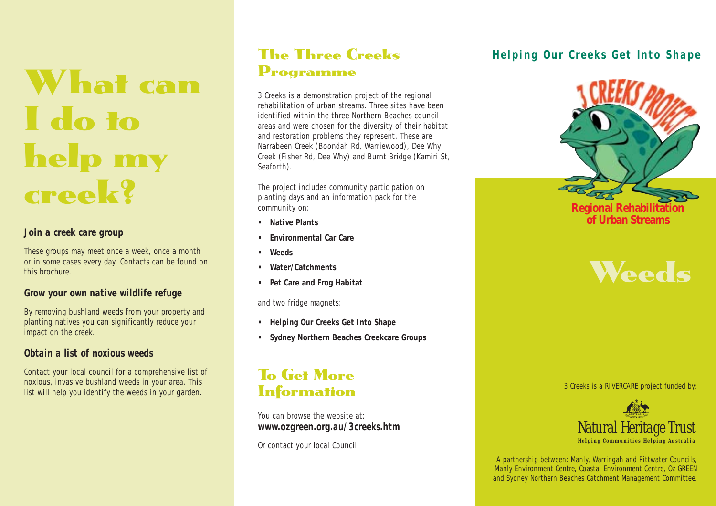# What can I do to help my creek?

#### *Join a creek care group*

These groups may meet once a week, once a month or in some cases every day. Contacts can be found on this brochure.

#### *Grow your own native wildlife refuge*

By removing bushland weeds from your property and planting natives you can significantly reduce your impact on the creek.

#### *Obtain a list of noxious weeds*

Contact your local council for a comprehensive list of noxious, invasive bushland weeds in your area. This list will help you identify the weeds in your garden.

## The Three Creeks Programme

3 Creeks is a demonstration project of the regional rehabilitation of urban streams. Three sites have been identified within the three Northern Beaches council areas and were chosen for the diversity of their habitat and restoration problems they represent. These are Narrabeen Creek (Boondah Rd, Warriewood), Dee Why Creek (Fisher Rd, Dee Why) and Burnt Bridge (Kamiri St, Seaforth).

The project includes community participation on planting days and an information pack for the community on:

- **• Native Plants**
- **• Environmental Car Care**
- **Weeds**
- **Water/Catchments**
- **Pet Care and Frog Habitat**

and two fridge magnets:

- **• Helping Our Creeks Get Into Shape**
- **Sydney Northern Beaches Creekcare Groups**

## To Get More **Information**

You can browse the website at: *www.ozgreen.org.au/3creeks.htm*

Or contact your local Council.

## *Helping Our Creeks Get Into Shape*



## **Weeds**

3 Creeks is a RIVERCARE project funded by:



A partnership between: Manly, Warringah and Pittwater Councils, Manly Environment Centre, Coastal Environment Centre, Oz GREEN and Sydney Northern Beaches Catchment Management Committee.